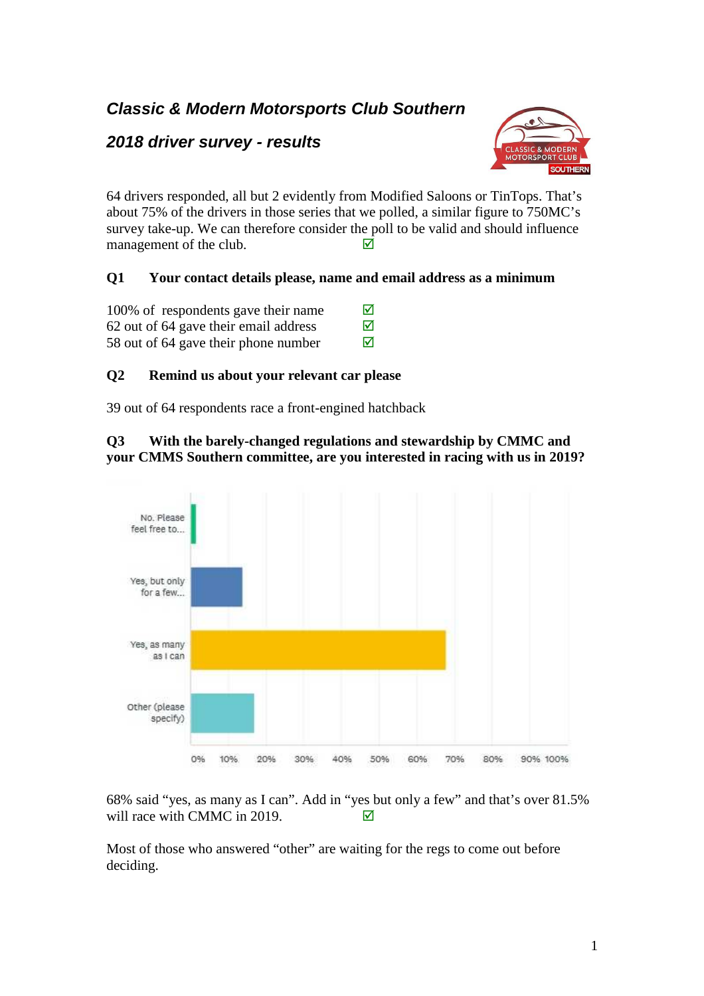# **Classic & Modern Motorsports Club Southern**

# **2018 driver survey - results**



64 drivers responded, all but 2 evidently from Modified Saloons or TinTops. That's about 75% of the drivers in those series that we polled, a similar figure to 750MC's survey take-up. We can therefore consider the poll to be valid and should influence management of the club.  $\Box$ 

# **Q1 Your contact details please, name and email address as a minimum**

| 100% of respondents gave their name   | ⊠ |
|---------------------------------------|---|
| 62 out of 64 gave their email address | ⊠ |
| 58 out of 64 gave their phone number  | ⊠ |

### **Q2 Remind us about your relevant car please**

39 out of 64 respondents race a front-engined hatchback

#### **Q3 With the barely-changed regulations and stewardship by CMMC and your CMMS Southern committee, are you interested in racing with us in 2019?**



68% said "yes, as many as I can". Add in "yes but only a few" and that's over 81.5% will race with CMMC in 2019.  $\Box$ 

Most of those who answered "other" are waiting for the regs to come out before deciding.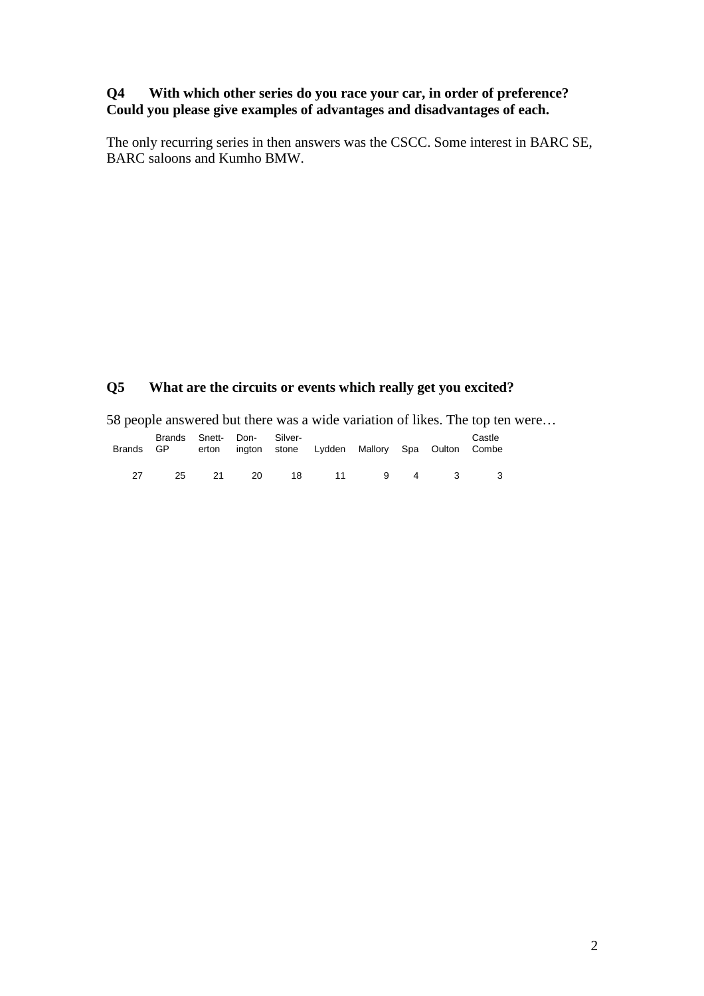#### **Q4 With which other series do you race your car, in order of preference? Could you please give examples of advantages and disadvantages of each.**

The only recurring series in then answers was the CSCC. Some interest in BARC SE, BARC saloons and Kumho BMW.

# **Q5 What are the circuits or events which really get you excited?**

58 people answered but there was a wide variation of likes. The top ten were…

|    | Brands Snett- Don- Silver- |      |    | Brands GP erton ington stone Lydden Mallory Spa Oulton Combe |  | Castle |
|----|----------------------------|------|----|--------------------------------------------------------------|--|--------|
| 27 | 25                         | - 21 | 20 | 18 11 9 4 3                                                  |  |        |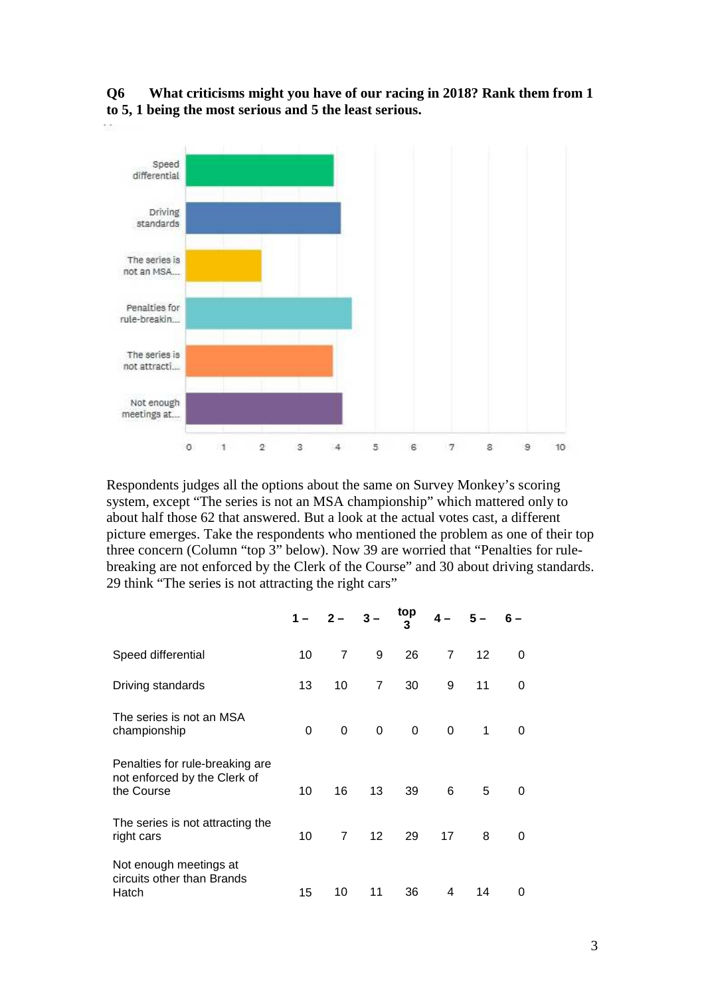



Respondents judges all the options about the same on Survey Monkey's scoring system, except "The series is not an MSA championship" which mattered only to about half those 62 that answered. But a look at the actual votes cast, a different picture emerges. Take the respondents who mentioned the problem as one of their top three concern (Column "top 3" below). Now 39 are worried that "Penalties for rulebreaking are not enforced by the Clerk of the Course" and 30 about driving standards. 29 think "The series is not attracting the right cars"

|                                                                               |    | $1 - 2 - 3 -$  |                 | top<br>3 | $4-$           | $5-$ |   |
|-------------------------------------------------------------------------------|----|----------------|-----------------|----------|----------------|------|---|
| Speed differential                                                            | 10 | $\overline{7}$ | 9               | 26       | $\overline{7}$ | 12   | 0 |
| Driving standards                                                             | 13 | 10             | 7               | 30       | 9              | 11   | 0 |
| The series is not an MSA<br>championship                                      | 0  | 0              | $\Omega$        | 0        | 0              | 1    | 0 |
| Penalties for rule-breaking are<br>not enforced by the Clerk of<br>the Course | 10 | 16             | 13              | 39       | 6              | 5    | 0 |
| The series is not attracting the<br>right cars                                | 10 | $\overline{7}$ | 12 <sup>2</sup> | 29       | 17             | 8    | 0 |
| Not enough meetings at<br>circuits other than Brands<br>Hatch                 | 15 | 10             | 11              | 36       | 4              | 14   | 0 |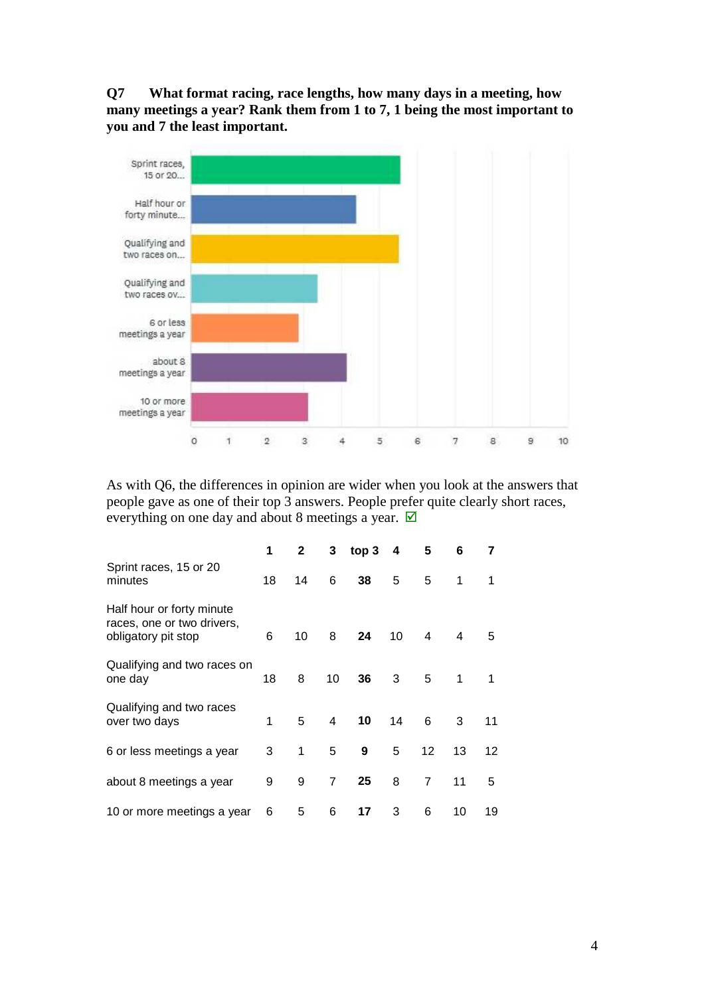**Q7 What format racing, race lengths, how many days in a meeting, how many meetings a year? Rank them from 1 to 7, 1 being the most important to you and 7 the least important.** 



As with Q6, the differences in opinion are wider when you look at the answers that people gave as one of their top 3 answers. People prefer quite clearly short races, everything on one day and about 8 meetings a year.  $\boxtimes$ 

|                                                                                | 1  | $\mathbf{2}$ | 3  | top 3 | 4  | 5                 | 6  |    |
|--------------------------------------------------------------------------------|----|--------------|----|-------|----|-------------------|----|----|
| Sprint races, 15 or 20<br>minutes                                              | 18 | 14           | 6  | 38    | 5  | 5                 | 1  | 1  |
| Half hour or forty minute<br>races, one or two drivers,<br>obligatory pit stop | 6  | 10           | 8  | 24    | 10 | 4                 | 4  | 5  |
| Qualifying and two races on<br>one day                                         | 18 | 8            | 10 | 36    | 3  | 5                 | 1  | 1  |
| Qualifying and two races<br>over two days                                      | 1  | 5            | 4  | 10    | 14 | 6                 | 3  | 11 |
| 6 or less meetings a year                                                      | 3  | 1            | 5  | 9     | 5  | $12 \overline{ }$ | 13 | 12 |
| about 8 meetings a year                                                        | 9  | 9            | 7  | 25    | 8  | 7                 | 11 | 5  |
| 10 or more meetings a year                                                     | 6  | 5            | 6  | 17    | 3  | 6                 | 10 | 19 |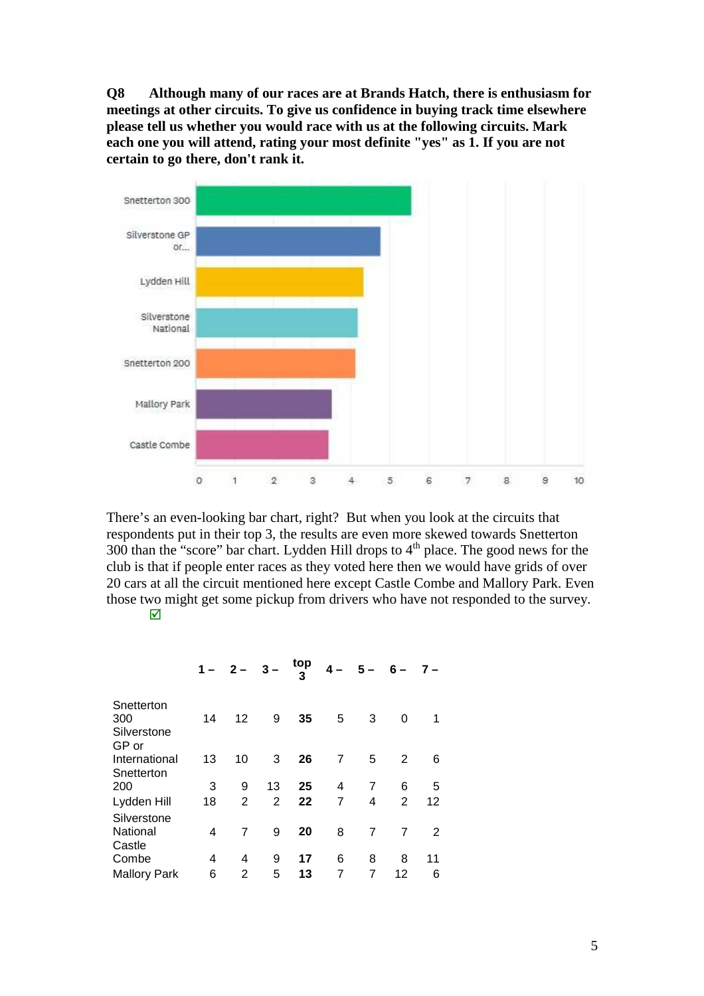**Q8 Although many of our races are at Brands Hatch, there is enthusiasm for meetings at other circuits. To give us confidence in buying track time elsewhere please tell us whether you would race with us at the following circuits. Mark each one you will attend, rating your most definite "yes" as 1. If you are not certain to go there, don't rank it.** 



There's an even-looking bar chart, right? But when you look at the circuits that respondents put in their top 3, the results are even more skewed towards Snetterton 300 than the "score" bar chart. Lydden Hill drops to 4<sup>th</sup> place. The good news for the club is that if people enter races as they voted here then we would have grids of over 20 cars at all the circuit mentioned here except Castle Combe and Mallory Park. Even those two might get some pickup from drivers who have not responded to the survey.  $\overline{\mathsf{M}}$ 

|                                           |    | $1 - 2 - 3 -$  |    | top | $4-$           | $5-$           | $6-$ | $7 -$ |
|-------------------------------------------|----|----------------|----|-----|----------------|----------------|------|-------|
| Snetterton<br>300<br>Silverstone<br>GP or | 14 | 12             | 9  | 35  | 5              | 3              | 0    | 1     |
| International<br>Snetterton               | 13 | 10             | 3  | 26  | $\overline{7}$ | 5              | 2    | 6     |
| 200                                       | 3  | 9              | 13 | 25  | 4              | 7              | 6    | 5     |
| Lydden Hill                               | 18 | $\overline{2}$ | 2  | 22  | 7              | 4              | 2    | 12    |
| Silverstone<br>National<br>Castle         | 4  | 7              | 9  | 20  | 8              | $\overline{7}$ | 7    | 2     |
| Combe                                     | 4  | 4              | 9  | 17  | 6              | 8              | 8    | 11    |
| <b>Mallory Park</b>                       | 6  | 2              | 5  | 13  |                |                | 12   | 6     |
|                                           |    |                |    |     |                |                |      |       |